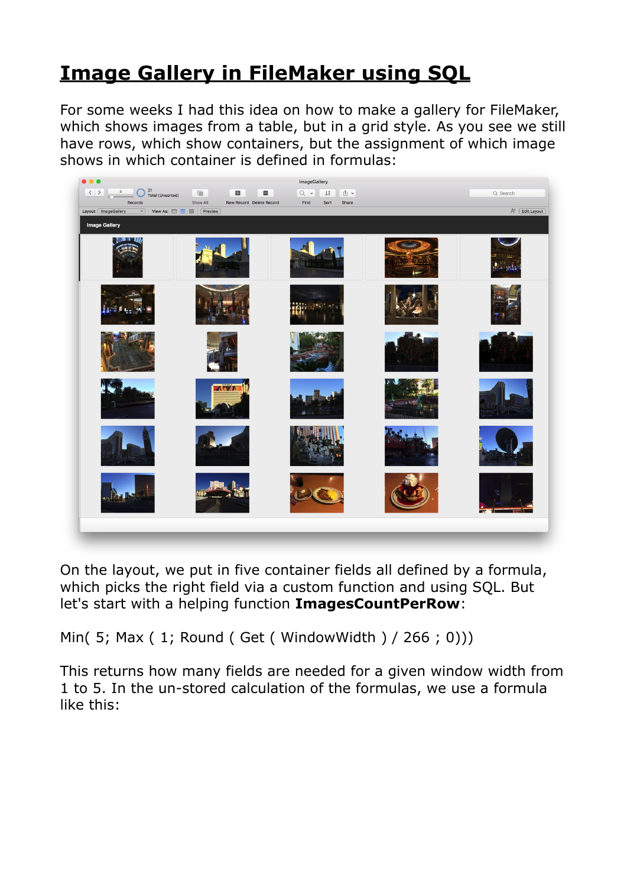## **[Image Gallery in FileMaker using SQL](https://www.mbs-plugins.com/archive/2018-05-09/Image_Gallery_in_FileMaker_usi/monkeybreadsoftware_blog_filemaker)**

For some weeks I had this idea on how to make a gallery for FileMaker, which shows images from a table, but in a grid style. As you see we still have rows, which show containers, but the assignment of which image shows in which container is defined in formulas:



On the layout, we put in five container fields all defined by a formula, which picks the right field via a custom function and using SQL. But let's start with a helping function **ImagesCountPerRow**:

Min( 5; Max ( 1; Round ( Get ( WindowWidth ) / 266 ; 0)))

This returns how many fields are needed for a given window width from 1 to 5. In the un-stored calculation of the formulas, we use a formula like this: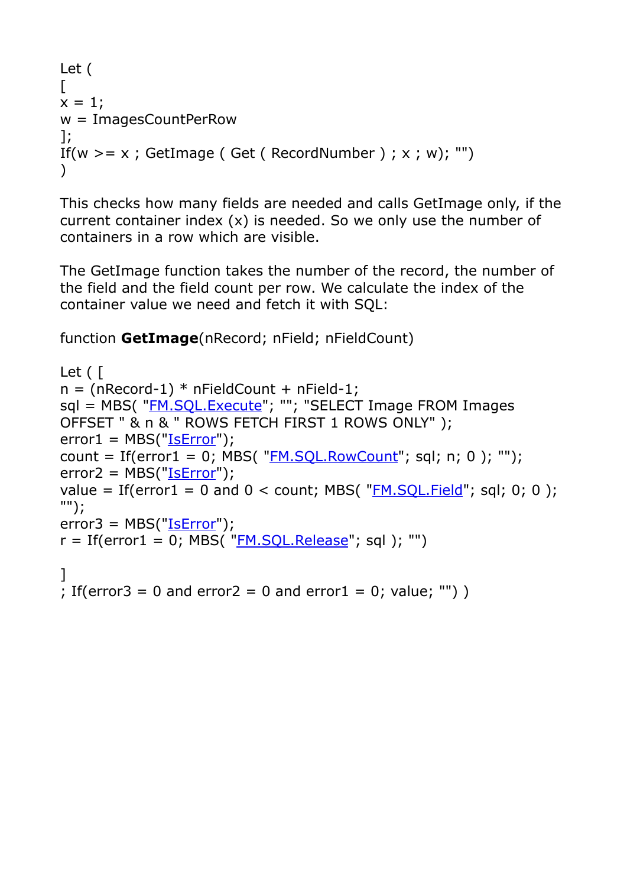```
Let ( 
\Gammax = 1:
w = ImagesCountPerRow 
]; 
If(w > = x; GetImage ( Get ( RecordNumber ); x; w); "")
\lambda
```
This checks how many fields are needed and calls GetImage only, if the current container index  $(x)$  is needed. So we only use the number of containers in a row which are visible.

The GetImage function takes the number of the record, the number of the field and the field count per row. We calculate the index of the container value we need and fetch it with SQL:

function **GetImage**(nRecord; nField; nFieldCount)

```
Let ( [ 
n = (nRecord-1) * nFieldCount + nField-1;"FM.SQL.Execute"; ""; "SELECT Image FROM Images
OFFSET " & n & " ROWS FETCH FIRST 1 ROWS ONLY" ); 
"IsError");count = If(error1 = 0; MBS( "FM.SOL.RowCount"; sql; n; 0); "");
error2 = MBS("IsError"); 
value = If(error1 = 0 and 0 <FM.SQL.Field"; sql; 0; 0);
""); 
error3 = MBS("IsError"); 
r = \text{If}(\text{error1} = 0; \text{MBS}(\text{''}\underline{\text{FM.SQL.Release}}); \text{sql}); \text{'''})] 
; If(error3 = 0 and error2 = 0 and error1 = 0; value; "'))
```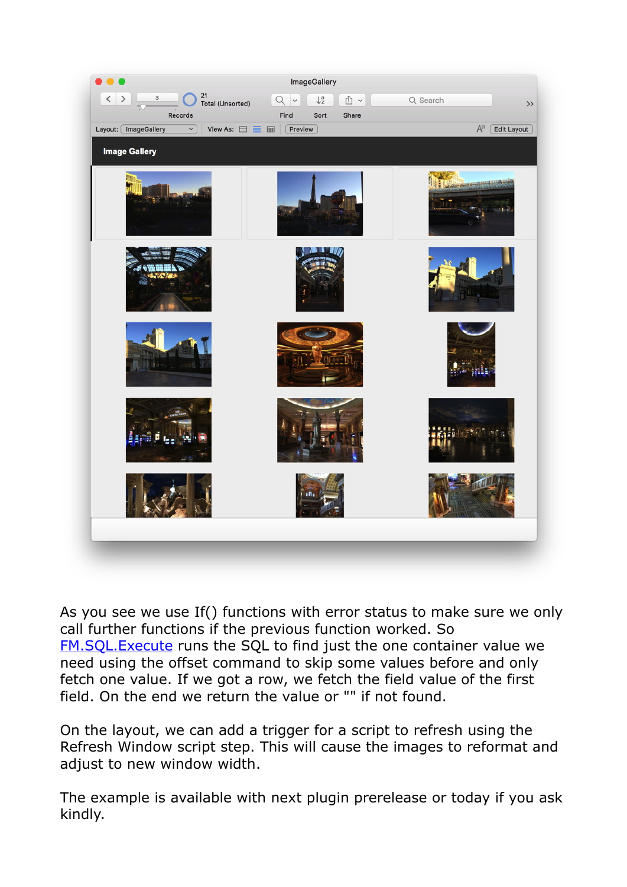

As you see we use If() functions with error status to make sure we only call further functions if the previous function worked. So [FM.SQL.Execute](http://www.mbsplugins.eu/FMSQLExecute.shtml) runs the SQL to find just the one container value we need using the offset command to skip some values before and only fetch one value. If we got a row, we fetch the field value of the first field. On the end we return the value or "" if not found.

On the layout, we can add a trigger for a script to refresh using the Refresh Window script step. This will cause the images to reformat and adjust to new window width.

The example is available with next plugin prerelease or today if you ask kindly.